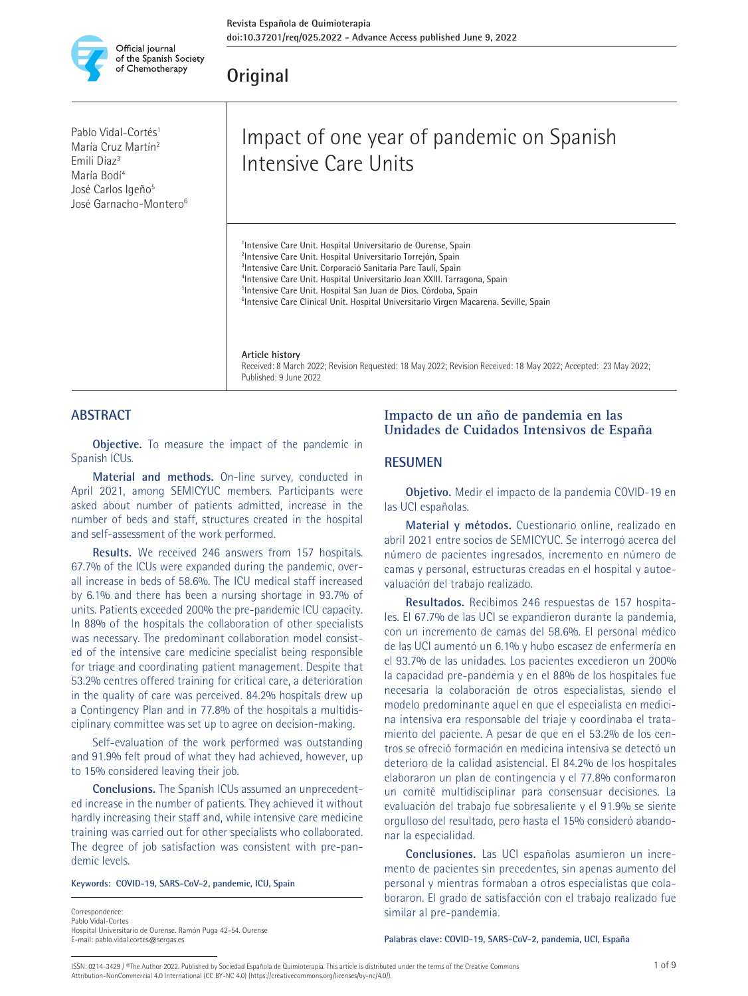

## **Original**

Pablo Vidal-Cortés<sup>1</sup> María Cruz Martín2 Emili Díaz3 María Bodí4 José Carlos Igeño<sup>5</sup> José Garnacho-Montero<sup>6</sup>

# Impact of one year of pandemic on Spanish Intensive Care Units

<sup>1</sup>Intensive Care Unit. Hospital Universitario de Ourense, Spain <sup>2</sup>Intensive Care Unit. Hospital Universitario Torrejón, Spain <sup>3</sup>Intensive Care Unit. Corporació Sanitaria Parc Taulí, Spain 4 Intensive Care Unit. Hospital Universitario Joan XXIII. Tarragona, Spain 5 Intensive Care Unit. Hospital San Juan de Dios. Córdoba, Spain <sup>6</sup>Intensive Care Clinical Unit. Hospital Universitario Virgen Macarena. Seville, Spain

#### **Article history**

Received: 8 March 2022; Revision Requested: 18 May 2022; Revision Received: 18 May 2022; Accepted: 23 May 2022; Published: 9 June 2022

#### **ABSTRACT**

**Objective.** To measure the impact of the pandemic in Spanish ICUs.

**Material and methods.** On-line survey, conducted in April 2021, among SEMICYUC members. Participants were asked about number of patients admitted, increase in the number of beds and staff, structures created in the hospital and self-assessment of the work performed.

**Results.** We received 246 answers from 157 hospitals. 67.7% of the ICUs were expanded during the pandemic, overall increase in beds of 58.6%. The ICU medical staff increased by 6.1% and there has been a nursing shortage in 93.7% of units. Patients exceeded 200% the pre-pandemic ICU capacity. In 88% of the hospitals the collaboration of other specialists was necessary. The predominant collaboration model consisted of the intensive care medicine specialist being responsible for triage and coordinating patient management. Despite that 53.2% centres offered training for critical care, a deterioration in the quality of care was perceived. 84.2% hospitals drew up a Contingency Plan and in 77.8% of the hospitals a multidisciplinary committee was set up to agree on decision-making.

Self-evaluation of the work performed was outstanding and 91.9% felt proud of what they had achieved, however, up to 15% considered leaving their job.

**Conclusions.** The Spanish ICUs assumed an unprecedented increase in the number of patients. They achieved it without hardly increasing their staff and, while intensive care medicine training was carried out for other specialists who collaborated. The degree of job satisfaction was consistent with pre-pandemic levels.

**Keywords: COVID-19, SARS-CoV-2, pandemic, ICU, Spain**

Correspondence: Pablo Vidal-Cortes Hospital Universitario de Ourense. Ramón Puga 42-54. Ourense E-mail: pablo.vidal.cortes@sergas.es

#### **Impacto de un año de pandemia en las Unidades de Cuidados Intensivos de España**

#### **RESUMEN**

**Objetivo.** Medir el impacto de la pandemia COVID-19 en las UCI españolas.

**Material y métodos.** Cuestionario online, realizado en abril 2021 entre socios de SEMICYUC. Se interrogó acerca del número de pacientes ingresados, incremento en número de camas y personal, estructuras creadas en el hospital y autoevaluación del trabajo realizado.

**Resultados.** Recibimos 246 respuestas de 157 hospitales. El 67.7% de las UCI se expandieron durante la pandemia, con un incremento de camas del 58.6%. El personal médico de las UCI aumentó un 6.1% y hubo escasez de enfermería en el 93.7% de las unidades. Los pacientes excedieron un 200% la capacidad pre-pandemia y en el 88% de los hospitales fue necesaria la colaboración de otros especialistas, siendo el modelo predominante aquel en que el especialista en medicina intensiva era responsable del triaje y coordinaba el tratamiento del paciente. A pesar de que en el 53.2% de los centros se ofreció formación en medicina intensiva se detectó un deterioro de la calidad asistencial. El 84.2% de los hospitales elaboraron un plan de contingencia y el 77.8% conformaron un comité multidisciplinar para consensuar decisiones. La evaluación del trabajo fue sobresaliente y el 91.9% se siente orgulloso del resultado, pero hasta el 15% consideró abandonar la especialidad.

**Conclusiones.** Las UCI españolas asumieron un incremento de pacientes sin precedentes, sin apenas aumento del personal y mientras formaban a otros especialistas que colaboraron. El grado de satisfacción con el trabajo realizado fue similar al pre-pandemia.

**Palabras clave: COVID-19, SARS-CoV-2, pandemia, UCI, España**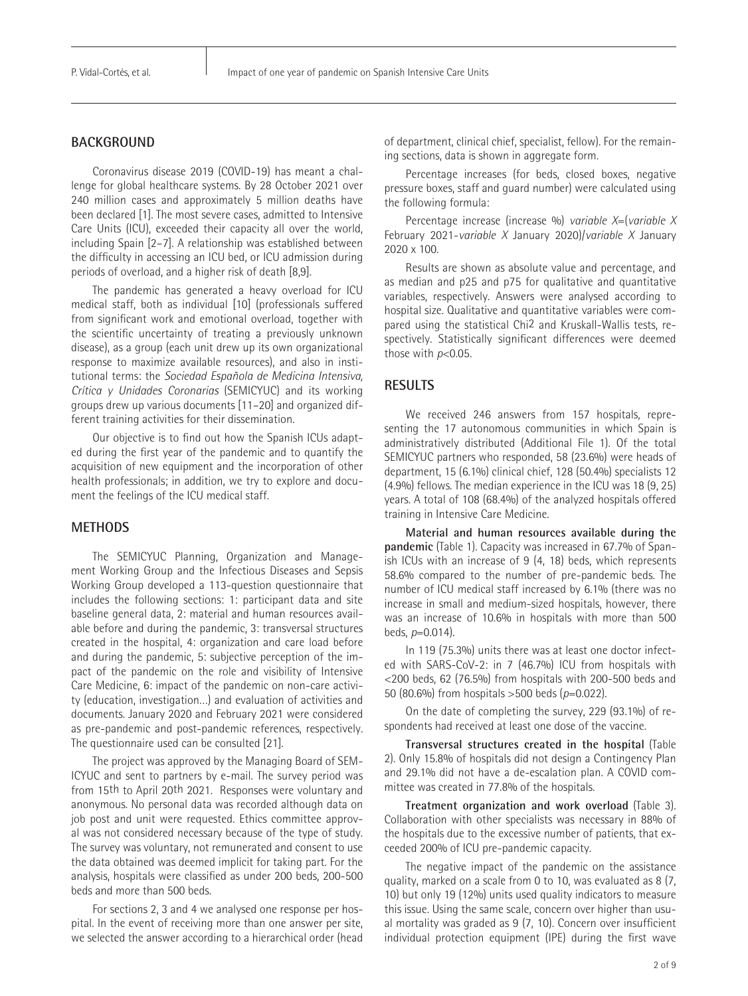### **BACKGROUND**

Coronavirus disease 2019 (COVID-19) has meant a challenge for global healthcare systems. By 28 October 2021 over 240 million cases and approximately 5 million deaths have been declared [1]. The most severe cases, admitted to Intensive Care Units (ICU), exceeded their capacity all over the world, including Spain [2–7]. A relationship was established between the difficulty in accessing an ICU bed, or ICU admission during periods of overload, and a higher risk of death [8,9].

The pandemic has generated a heavy overload for ICU medical staff, both as individual [10] (professionals suffered from significant work and emotional overload, together with the scientific uncertainty of treating a previously unknown disease), as a group (each unit drew up its own organizational response to maximize available resources), and also in institutional terms: the *Sociedad Española de Medicina Intensiva, Crítica y Unidades Coronarias* (SEMICYUC) and its working groups drew up various documents [11–20] and organized different training activities for their dissemination.

Our objective is to find out how the Spanish ICUs adapted during the first year of the pandemic and to quantify the acquisition of new equipment and the incorporation of other health professionals; in addition, we try to explore and document the feelings of the ICU medical staff.

#### **METHODS**

The SEMICYUC Planning, Organization and Management Working Group and the Infectious Diseases and Sepsis Working Group developed a 113-question questionnaire that includes the following sections: 1: participant data and site baseline general data, 2: material and human resources available before and during the pandemic, 3: transversal structures created in the hospital, 4: organization and care load before and during the pandemic, 5: subjective perception of the impact of the pandemic on the role and visibility of Intensive Care Medicine, 6: impact of the pandemic on non-care activity (education, investigation…) and evaluation of activities and documents. January 2020 and February 2021 were considered as pre-pandemic and post-pandemic references, respectively. The questionnaire used can be consulted [21].

The project was approved by the Managing Board of SEM-ICYUC and sent to partners by e-mail. The survey period was from 15th to April 20th 2021. Responses were voluntary and anonymous. No personal data was recorded although data on job post and unit were requested. Ethics committee approval was not considered necessary because of the type of study. The survey was voluntary, not remunerated and consent to use the data obtained was deemed implicit for taking part. For the analysis, hospitals were classified as under 200 beds, 200-500 beds and more than 500 beds.

For sections 2, 3 and 4 we analysed one response per hospital. In the event of receiving more than one answer per site, we selected the answer according to a hierarchical order (head of department, clinical chief, specialist, fellow). For the remaining sections, data is shown in aggregate form.

Percentage increases (for beds, closed boxes, negative pressure boxes, staff and guard number) were calculated using the following formula:

Percentage increase (increase %) *variable X*=(*variable X* February 2021-*variable X* January 2020)/*variable X* January 2020 x 100.

Results are shown as absolute value and percentage, and as median and p25 and p75 for qualitative and quantitative variables, respectively. Answers were analysed according to hospital size. Qualitative and quantitative variables were compared using the statistical Chi2 and Kruskall-Wallis tests, respectively. Statistically significant differences were deemed those with *p*<0.05.

#### **RESULTS**

We received 246 answers from 157 hospitals, representing the 17 autonomous communities in which Spain is administratively distributed (Additional File 1). Of the total SEMICYUC partners who responded, 58 (23.6%) were heads of department, 15 (6.1%) clinical chief, 128 (50.4%) specialists 12 (4.9%) fellows. The median experience in the ICU was 18 (9, 25) years. A total of 108 (68.4%) of the analyzed hospitals offered training in Intensive Care Medicine.

**Material and human resources available during the pandemic** (Table 1). Capacity was increased in 67.7% of Spanish ICUs with an increase of 9 (4, 18) beds, which represents 58.6% compared to the number of pre-pandemic beds. The number of ICU medical staff increased by 6.1% (there was no increase in small and medium-sized hospitals, however, there was an increase of 10.6% in hospitals with more than 500 beds, *p*=0.014).

In 119 (75.3%) units there was at least one doctor infected with SARS-CoV-2: in 7 (46.7%) ICU from hospitals with <200 beds, 62 (76.5%) from hospitals with 200-500 beds and 50 (80.6%) from hospitals >500 beds (*p*=0.022).

On the date of completing the survey, 229 (93.1%) of respondents had received at least one dose of the vaccine.

**Transversal structures created in the hospital** (Table 2). Only 15.8% of hospitals did not design a Contingency Plan and 29.1% did not have a de-escalation plan. A COVID committee was created in 77.8% of the hospitals.

**Treatment organization and work overload** (Table 3). Collaboration with other specialists was necessary in 88% of the hospitals due to the excessive number of patients, that exceeded 200% of ICU pre-pandemic capacity.

The negative impact of the pandemic on the assistance quality, marked on a scale from 0 to 10, was evaluated as 8 (7, 10) but only 19 (12%) units used quality indicators to measure this issue. Using the same scale, concern over higher than usual mortality was graded as 9 (7, 10). Concern over insufficient individual protection equipment (IPE) during the first wave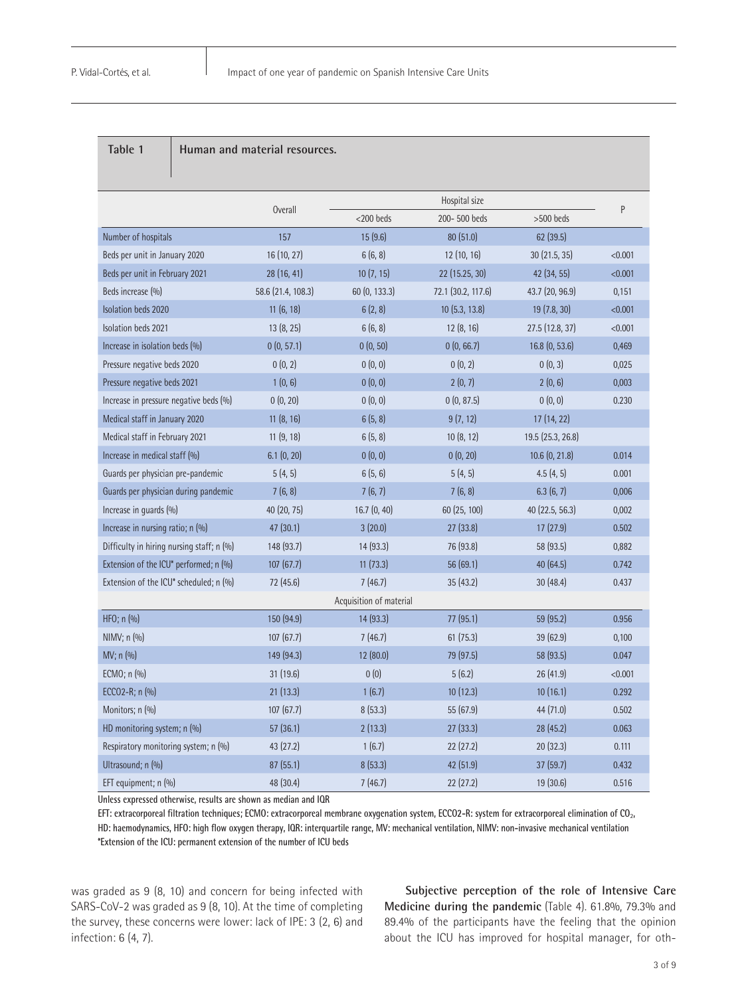#### **Table 1 Human and material resources.**

|                                           |                                |                         | Hospital size                   |                   |         |  |  |
|-------------------------------------------|--------------------------------|-------------------------|---------------------------------|-------------------|---------|--|--|
|                                           | <b>Overall</b><br>$<$ 200 beds |                         | 200-500 beds                    | $>500$ beds       | P       |  |  |
| Number of hospitals                       | 157                            | 15(9.6)                 | 80(51.0)                        | 62(39.5)          |         |  |  |
| Beds per unit in January 2020             | 16 (10, 27)                    | 6(6, 8)                 | 12(10, 16)<br>30(21.5, 35)      |                   | < 0.001 |  |  |
| Beds per unit in February 2021            | 28(16, 41)                     | 10(7, 15)               | 22 (15.25, 30)                  | 42(34, 55)        | < 0.001 |  |  |
| Beds increase (%)                         | 58.6 (21.4, 108.3)             | 60 (0, 133.3)           | 72.1 (30.2, 117.6)              | 43.7 (20, 96.9)   | 0,151   |  |  |
| Isolation beds 2020                       | 11 (6, 18)                     | 6(2, 8)                 | 10 (5.3, 13.8)<br>19 (7.8, 30)  |                   | < 0.001 |  |  |
| Isolation beds 2021                       | 13 (8, 25)                     | 6(6, 8)                 | 12 (8, 16)<br>27.5(12.8, 37)    |                   | < 0.001 |  |  |
| Increase in isolation beds (%)            | 0(0, 57.1)                     | 0(0, 50)                | 0(0, 66.7)                      | 16.8(0, 53.6)     | 0,469   |  |  |
| Pressure negative beds 2020               | 0(0, 2)                        | 0(0, 0)                 | 0(0, 2)                         | 0(0, 3)           | 0,025   |  |  |
| Pressure negative beds 2021               | 1(0, 6)                        | 0(0, 0)                 | 2(0, 7)                         | 2(0, 6)           | 0,003   |  |  |
| Increase in pressure negative beds (%)    | 0(0, 20)                       | 0(0, 0)                 | 0(0, 87.5)                      | 0(0, 0)           | 0.230   |  |  |
| Medical staff in January 2020             | 11(8, 16)                      | 6(5, 8)                 | 9(7, 12)                        | 17 (14, 22)       |         |  |  |
| Medical staff in February 2021            | 11(9, 18)                      | 6(5, 8)                 | 10(8, 12)                       | 19.5 (25.3, 26.8) |         |  |  |
| Increase in medical staff (%)             | 6.1(0, 20)                     | 0(0, 0)                 | 0(0, 20)                        | 10.6 (0, 21.8)    |         |  |  |
| Guards per physician pre-pandemic         | 5(4, 5)                        | 6(5, 6)                 | 5(4, 5)                         | 4.5(4, 5)         | 0.001   |  |  |
| Guards per physician during pandemic      | 7(6, 8)                        | 7(6, 7)                 | 7(6, 8)                         | 6.3(6, 7)         | 0,006   |  |  |
| Increase in guards (%)                    | 40 (20, 75)                    | 16.7(0, 40)             | 60 (25, 100)<br>40 (22.5, 56.3) |                   | 0,002   |  |  |
| Increase in nursing ratio; n (%)          | 47 (30.1)                      | 3(20.0)                 | 27(33.8)                        | 17(27.9)          | 0.502   |  |  |
| Difficulty in hiring nursing staff; n (%) | 148 (93.7)                     | 14(93.3)                | 76 (93.8)<br>58 (93.5)          |                   | 0,882   |  |  |
| Extension of the ICU* performed; n (%)    | 107 (67.7)                     | 11(73.3)                | 56 (69.1)<br>40 (64.5)          |                   | 0.742   |  |  |
| Extension of the ICU* scheduled; n (%)    | 72 (45.6)                      | 7(46.7)                 | 35(43.2)<br>30(48.4)            |                   | 0.437   |  |  |
|                                           |                                | Acquisition of material |                                 |                   |         |  |  |
| HFO; n (%)                                | 150 (94.9)                     | 14(93.3)                | 77 (95.1)                       | 59 (95.2)         | 0.956   |  |  |
| NIMV; n (%)                               | 107 (67.7)                     | 7(46.7)                 | 61(75.3)                        | 39 (62.9)         | 0,100   |  |  |
| MV; n (%)                                 | 149 (94.3)                     | 12(80.0)                | 79 (97.5)                       | 58 (93.5)         | 0.047   |  |  |
| ECMO; n (%)                               | 31 (19.6)                      | 0(0)                    | 5(6.2)                          | 26(41.9)          | < 0.001 |  |  |
| ECCO2-R; n (%)                            | 21(13.3)                       | 1(6.7)                  | 10(12.3)                        | 10(16.1)          | 0.292   |  |  |
| Monitors; n (%)                           | 107(67.7)                      | 8(53.3)                 | 55 (67.9)                       | 44 (71.0)         | 0.502   |  |  |
| HD monitoring system; n (%)               | 57(36.1)                       | 2(13.3)                 | 27(33.3)                        | 28(45.2)          | 0.063   |  |  |
| Respiratory monitoring system; n (%)      | 43(27.2)                       | 1(6.7)                  | 22(27.2)                        | 20(32.3)          | 0.111   |  |  |
| Ultrasound; n (%)                         | 87(55.1)                       | 8(53.3)                 | 42 (51.9)                       | 37(59.7)          | 0.432   |  |  |
| EFT equipment; n (%)                      | 48 (30.4)                      | 7(46.7)                 | 22(27.2)                        | 19(30.6)          | 0.516   |  |  |

**Unless expressed otherwise, results are shown as median and IQR**

**EFT: extracorporeal filtration techniques; ECMO: extracorporeal membrane oxygenation system, ECCO2-R: system for extracorporeal elimination of CO**2**, HD: haemodynamics, HFO: high flow oxygen therapy, IQR: interquartile range, MV: mechanical ventilation, NIMV: non-invasive mechanical ventilation \*Extension of the ICU: permanent extension of the number of ICU beds**

was graded as 9 (8, 10) and concern for being infected with SARS-CoV-2 was graded as 9 (8, 10). At the time of completing the survey, these concerns were lower: lack of IPE: 3 (2, 6) and infection: 6 (4, 7).

**Subjective perception of the role of Intensive Care Medicine during the pandemic** (Table 4). 61.8%, 79.3% and 89.4% of the participants have the feeling that the opinion about the ICU has improved for hospital manager, for oth-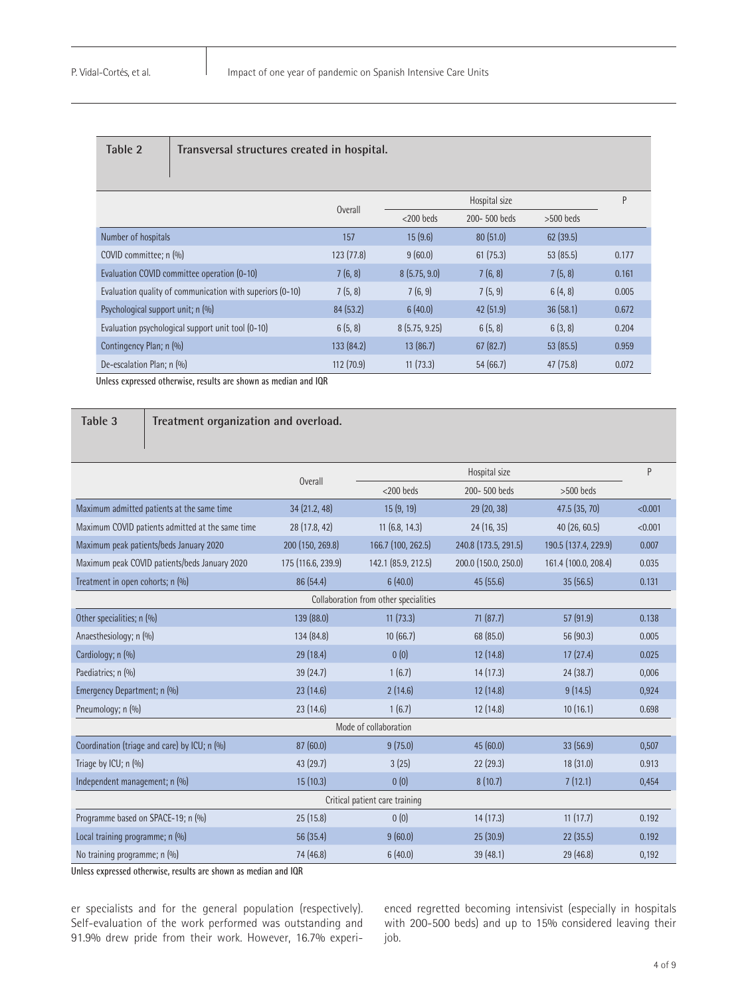|  |  | able |  |  |
|--|--|------|--|--|
|--|--|------|--|--|

**Table 2 Transversal structures created in hospital.** 

|                                                           | <b>Overall</b> |               | Hospital size |             |       |  |
|-----------------------------------------------------------|----------------|---------------|---------------|-------------|-------|--|
|                                                           |                | $<$ 200 beds  | 200-500 beds  | $>500$ beds |       |  |
| Number of hospitals                                       | 157            | 15(9.6)       | 80(51.0)      | 62(39.5)    |       |  |
| COVID committee; n (%)                                    | 123(77.8)      | 9(60.0)       | 61(75.3)      | 53(85.5)    | 0.177 |  |
| Evaluation COVID committee operation (0-10)               | 7(6, 8)        | 8(5.75, 9.0)  | 7(6, 8)       | 7(5, 8)     | 0.161 |  |
| Evaluation quality of communication with superiors (0-10) | 7(5, 8)        | 7(6, 9)       | 7(5, 9)       | 6(4, 8)     | 0.005 |  |
| Psychological support unit; n (%)                         | 84(53.2)       | 6(40.0)       | 42 (51.9)     | 36(58.1)    | 0.672 |  |
| Evaluation psychological support unit tool (0-10)         | 6(5, 8)        | 8(5.75, 9.25) | 6(5, 8)       | 6(3, 8)     | 0.204 |  |
| Contingency Plan; n (%)                                   | 133 (84.2)     | 13(86.7)      | 67(82.7)      | 53(85.5)    | 0.959 |  |
| De-escalation Plan; n (%)                                 | 112(70.9)      | 11(73.3)      | 54(66.7)      | 47(75.8)    | 0.072 |  |

**Unless expressed otherwise, results are shown as median and IQR**

#### **Table 3 Treatment organization and overload.**

|                                                  | Overall            |                                       | P                    |                      |         |  |  |
|--------------------------------------------------|--------------------|---------------------------------------|----------------------|----------------------|---------|--|--|
|                                                  |                    | $<$ 200 beds                          | 200-500 beds         |                      |         |  |  |
| Maximum admitted patients at the same time       | 34(21.2, 48)       | 15(9, 19)                             | 29(20, 38)           | 47.5(35, 70)         | < 0.001 |  |  |
| Maximum COVID patients admitted at the same time | 28 (17.8, 42)      | 11(6.8, 14.3)                         | 24 (16, 35)          | 40(26, 60.5)         | < 0.001 |  |  |
| Maximum peak patients/beds January 2020          | 200 (150, 269.8)   | 166.7 (100, 262.5)                    | 240.8 (173.5, 291.5) | 190.5 (137.4, 229.9) | 0.007   |  |  |
| Maximum peak COVID patients/beds January 2020    | 175 (116.6, 239.9) | 142.1 (85.9, 212.5)                   | 200.0 (150.0, 250.0) | 161.4 (100.0, 208.4) | 0.035   |  |  |
| Treatment in open cohorts; n (%)                 | 86 (54.4)          | 6(40.0)                               | 45 (55.6)            | 35(56.5)             | 0.131   |  |  |
|                                                  |                    | Collaboration from other specialities |                      |                      |         |  |  |
| Other specialities; n (%)                        | 139 (88.0)         | 11(73.3)                              | 71(87.7)             | 57 (91.9)            | 0.138   |  |  |
| Anaesthesiology; n (%)                           | 134 (84.8)         | 10(66.7)                              | 68 (85.0)            | 56 (90.3)            | 0.005   |  |  |
| Cardiology; n (%)                                | 29(18.4)           | 0(0)                                  | 12(14.8)             | 17(27.4)             | 0.025   |  |  |
| Paediatrics; n (%)                               | 39 (24.7)          | 1(6.7)                                | 14(17.3)             | 24(38.7)             | 0,006   |  |  |
| Emergency Department; n (%)                      | 23(14.6)           | 2(14.6)                               | 12(14.8)             | 9(14.5)              | 0,924   |  |  |
| Pneumology; n (%)                                | 23(14.6)           | 1(6.7)                                | 12(14.8)             | 10(16.1)             | 0.698   |  |  |
| Mode of collaboration                            |                    |                                       |                      |                      |         |  |  |
| Coordination (triage and care) by ICU; n (%)     | 87(60.0)           | 9(75.0)                               | 45(60.0)             | 33(56.9)             | 0,507   |  |  |
| Triage by ICU; n (%)                             | 43(29.7)           | 3(25)                                 | 22(29.3)             | 18(31.0)             | 0.913   |  |  |
| Independent management; n (%)                    | 15(10.3)           | 0(0)                                  | 8(10.7)              | 7(12.1)              | 0,454   |  |  |
| Critical patient care training                   |                    |                                       |                      |                      |         |  |  |
| Programme based on SPACE-19; n (%)               | 25(15.8)           | 0(0)                                  | 14(17.3)             | 11(17.7)             | 0.192   |  |  |
| Local training programme; n (%)                  | 56 (35.4)          | 9(60.0)                               | 25(30.9)             | 22(35.5)             | 0.192   |  |  |
| No training programme; n (%)                     | 74 (46.8)          | 6(40.0)                               | 39 (48.1)            | 29 (46.8)            | 0,192   |  |  |

**Unless expressed otherwise, results are shown as median and IQR**

er specialists and for the general population (respectively). Self-evaluation of the work performed was outstanding and 91.9% drew pride from their work. However, 16.7% experienced regretted becoming intensivist (especially in hospitals with 200-500 beds) and up to 15% considered leaving their job.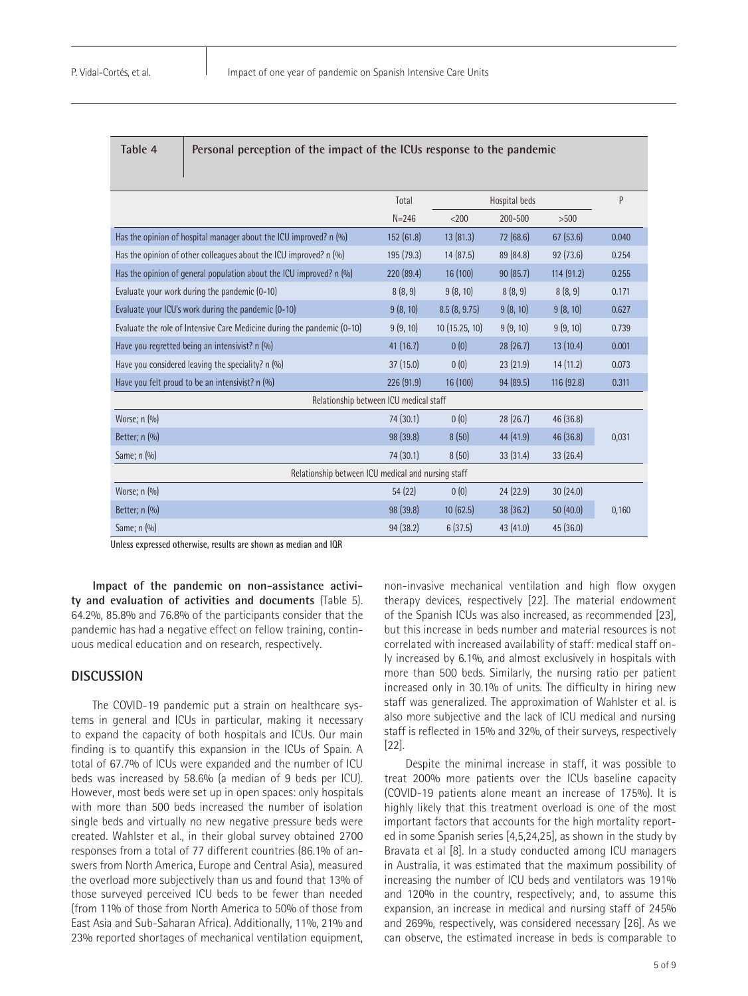| Table |  |  |
|-------|--|--|
|       |  |  |

Personal perception of the impact of the ICUs response to the pandemic

|                                                                         | Total      |               | Hospital beds |            |       |  |
|-------------------------------------------------------------------------|------------|---------------|---------------|------------|-------|--|
|                                                                         | $N = 246$  | $<$ 200       | 200-500       | >500       |       |  |
| Has the opinion of hospital manager about the ICU improved? n (%)       | 152 (61.8) | 13(81.3)      | 72 (68.6)     | 67(53.6)   | 0.040 |  |
| Has the opinion of other colleagues about the ICU improved? n (%)       | 195 (79.3) | 14 (87.5)     | 89 (84.8)     | 92(73.6)   | 0.254 |  |
| Has the opinion of general population about the ICU improved? n (%)     | 220 (89.4) | 16 (100)      | 90(85.7)      | 114 (91.2) | 0.255 |  |
| Evaluate your work during the pandemic (0-10)                           | 8(8, 9)    | 9(8, 10)      | 8(8, 9)       | 8(8, 9)    | 0.171 |  |
| Evaluate your ICU's work during the pandemic (0-10)                     | 9(8, 10)   | 8.5(8, 9.75)  | 9(8, 10)      | 9(8, 10)   | 0.627 |  |
| Evaluate the role of Intensive Care Medicine during the pandemic (0-10) | 9(9, 10)   | 10(15.25, 10) | 9(9, 10)      | 9(9, 10)   | 0.739 |  |
| Have you regretted being an intensivist? n (%)                          | 41 (16.7)  | 0(0)          | 28(26.7)      | 13(10.4)   | 0.001 |  |
| Have you considered leaving the speciality? n (%)                       | 37 (15.0)  | 0(0)          | 23(21.9)      | 14(11.2)   | 0.073 |  |
| Have you felt proud to be an intensivist? n (%)                         | 226 (91.9) | 16 (100)      | 94 (89.5)     | 116 (92.8) | 0.311 |  |
| Relationship between ICU medical staff                                  |            |               |               |            |       |  |
| Worse; $n$ $(\%)$                                                       | 74 (30.1)  | 0(0)          | 28(26.7)      | 46 (36.8)  |       |  |
| Better; n (%)                                                           | 98 (39.8)  | 8(50)         | 44(41.9)      | 46 (36.8)  | 0,031 |  |
| Same; $n$ $(\%)$                                                        | 74 (30.1)  | 8(50)         | 33(31.4)      | 33(26.4)   |       |  |
| Relationship between ICU medical and nursing staff                      |            |               |               |            |       |  |
| Worse; $n$ $(\%)$                                                       | 54(22)     | 0(0)          | 24(22.9)      | 30(24.0)   |       |  |
| Better; $n$ $(\%)$                                                      | 98 (39.8)  | 10(62.5)      | 38 (36.2)     | 50(40.0)   | 0,160 |  |
| Same; n (%)                                                             | 94 (38.2)  | 6(37.5)       | 43(41.0)      | 45 (36.0)  |       |  |

**Unless expressed otherwise, results are shown as median and IQR**

**Impact of the pandemic on non-assistance activity and evaluation of activities and documents** (Table 5). 64.2%, 85.8% and 76.8% of the participants consider that the pandemic has had a negative effect on fellow training, continuous medical education and on research, respectively.

#### **DISCUSSION**

The COVID-19 pandemic put a strain on healthcare systems in general and ICUs in particular, making it necessary to expand the capacity of both hospitals and ICUs. Our main finding is to quantify this expansion in the ICUs of Spain. A total of 67.7% of ICUs were expanded and the number of ICU beds was increased by 58.6% (a median of 9 beds per ICU). However, most beds were set up in open spaces: only hospitals with more than 500 beds increased the number of isolation single beds and virtually no new negative pressure beds were created. Wahlster et al., in their global survey obtained 2700 responses from a total of 77 different countries (86.1% of answers from North America, Europe and Central Asia), measured the overload more subjectively than us and found that 13% of those surveyed perceived ICU beds to be fewer than needed (from 11% of those from North America to 50% of those from East Asia and Sub-Saharan Africa). Additionally, 11%, 21% and 23% reported shortages of mechanical ventilation equipment,

non-invasive mechanical ventilation and high flow oxygen therapy devices, respectively [22]. The material endowment of the Spanish ICUs was also increased, as recommended [23], but this increase in beds number and material resources is not correlated with increased availability of staff: medical staff only increased by 6.1%, and almost exclusively in hospitals with more than 500 beds. Similarly, the nursing ratio per patient increased only in 30.1% of units. The difficulty in hiring new staff was generalized. The approximation of Wahlster et al. is also more subjective and the lack of ICU medical and nursing staff is reflected in 15% and 32%, of their surveys, respectively [22].

Despite the minimal increase in staff, it was possible to treat 200% more patients over the ICUs baseline capacity (COVID-19 patients alone meant an increase of 175%). It is highly likely that this treatment overload is one of the most important factors that accounts for the high mortality reported in some Spanish series [4,5,24,25], as shown in the study by Bravata et al [8]. In a study conducted among ICU managers in Australia, it was estimated that the maximum possibility of increasing the number of ICU beds and ventilators was 191% and 120% in the country, respectively; and, to assume this expansion, an increase in medical and nursing staff of 245% and 269%, respectively, was considered necessary [26]. As we can observe, the estimated increase in beds is comparable to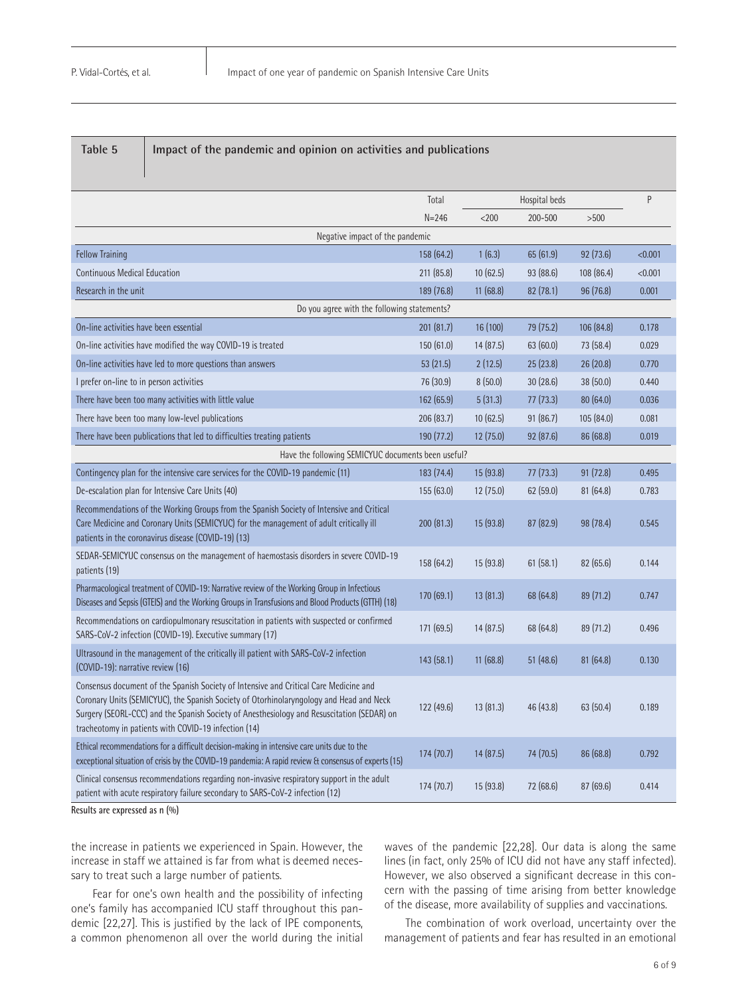| Table 5 |  |
|---------|--|
|---------|--|

Impact of the pandemic and opinion on activities and publications

|                                                                                                                                                                                                                                                                                                                                        | Total<br>Hospital beds |           | P         |            |         |  |
|----------------------------------------------------------------------------------------------------------------------------------------------------------------------------------------------------------------------------------------------------------------------------------------------------------------------------------------|------------------------|-----------|-----------|------------|---------|--|
|                                                                                                                                                                                                                                                                                                                                        | $N = 246$              | $<$ 200   | 200-500   | $>500$     |         |  |
| Negative impact of the pandemic                                                                                                                                                                                                                                                                                                        |                        |           |           |            |         |  |
| <b>Fellow Training</b>                                                                                                                                                                                                                                                                                                                 | 158(64.2)              | 1(6.3)    | 65(61.9)  | 92(73.6)   | < 0.001 |  |
| <b>Continuous Medical Education</b>                                                                                                                                                                                                                                                                                                    | 211 (85.8)             | 10(62.5)  | 93 (88.6) | 108 (86.4) | < 0.001 |  |
| Research in the unit                                                                                                                                                                                                                                                                                                                   | 189 (76.8)             | 11 (68.8) | 82(78.1)  | 96 (76.8)  | 0.001   |  |
| Do you agree with the following statements?                                                                                                                                                                                                                                                                                            |                        |           |           |            |         |  |
| On-line activities have been essential                                                                                                                                                                                                                                                                                                 | 201(81.7)              | 16(100)   | 79 (75.2) | 106 (84.8) | 0.178   |  |
| On-line activities have modified the way COVID-19 is treated                                                                                                                                                                                                                                                                           | 150(61.0)              | 14(87.5)  | 63(60.0)  | 73 (58.4)  | 0.029   |  |
| On-line activities have led to more questions than answers                                                                                                                                                                                                                                                                             | 53(21.5)               | 2(12.5)   | 25(23.8)  | 26(20.8)   | 0.770   |  |
| I prefer on-line to in person activities                                                                                                                                                                                                                                                                                               | 76 (30.9)              | 8(50.0)   | 30(28.6)  | 38(50.0)   | 0.440   |  |
| There have been too many activities with little value                                                                                                                                                                                                                                                                                  | 162 (65.9)             | 5(31.3)   | 77(73.3)  | 80(64.0)   | 0.036   |  |
| There have been too many low-level publications                                                                                                                                                                                                                                                                                        | 206 (83.7)             | 10(62.5)  | 91(86.7)  | 105 (84.0) | 0.081   |  |
| There have been publications that led to difficulties treating patients                                                                                                                                                                                                                                                                | 190(77.2)              | 12(75.0)  | 92 (87.6) | 86 (68.8)  | 0.019   |  |
| Have the following SEMICYUC documents been useful?                                                                                                                                                                                                                                                                                     |                        |           |           |            |         |  |
| Contingency plan for the intensive care services for the COVID-19 pandemic (11)                                                                                                                                                                                                                                                        | 183 (74.4)             | 15 (93.8) | 77(73.3)  | 91(72.8)   | 0.495   |  |
| De-escalation plan for Intensive Care Units (40)                                                                                                                                                                                                                                                                                       | 155(63.0)              | 12 (75.0) | 62(59.0)  | 81(64.8)   | 0.783   |  |
| Recommendations of the Working Groups from the Spanish Society of Intensive and Critical<br>Care Medicine and Coronary Units (SEMICYUC) for the management of adult critically ill<br>patients in the coronavirus disease (COVID-19) (13)                                                                                              | 200(81.3)              | 15(93.8)  | 87(82.9)  | 98 (78.4)  | 0.545   |  |
| SEDAR-SEMICYUC consensus on the management of haemostasis disorders in severe COVID-19<br>patients (19)                                                                                                                                                                                                                                | 158 (64.2)             | 15(93.8)  | 61(58.1)  | 82(65.6)   | 0.144   |  |
| Pharmacological treatment of COVID-19: Narrative review of the Working Group in Infectious<br>Diseases and Sepsis (GTEIS) and the Working Groups in Transfusions and Blood Products (GTTH) (18)                                                                                                                                        | 170(69.1)              | 13(81.3)  | 68 (64.8) | 89(71.2)   | 0.747   |  |
| Recommendations on cardiopulmonary resuscitation in patients with suspected or confirmed<br>SARS-CoV-2 infection (COVID-19). Executive summary (17)                                                                                                                                                                                    | 171 (69.5)             | 14(87.5)  | 68 (64.8) | 89 (71.2)  | 0.496   |  |
| Ultrasound in the management of the critically ill patient with SARS-CoV-2 infection<br>(COVID-19): narrative review (16)                                                                                                                                                                                                              | 143(58.1)              | 11(68.8)  | 51(48.6)  | 81(64.8)   | 0.130   |  |
| Consensus document of the Spanish Society of Intensive and Critical Care Medicine and<br>Coronary Units (SEMICYUC), the Spanish Society of Otorhinolaryngology and Head and Neck<br>Surgery (SEORL-CCC) and the Spanish Society of Anesthesiology and Resuscitation (SEDAR) on<br>tracheotomy in patients with COVID-19 infection (14) | 122(49.6)              | 13(81.3)  | 46 (43.8) | 63 (50.4)  | 0.189   |  |
| Ethical recommendations for a difficult decision-making in intensive care units due to the<br>exceptional situation of crisis by the COVID-19 pandemia: A rapid review & consensus of experts (15)                                                                                                                                     | 174(70.7)              | 14(87.5)  | 74 (70.5) | 86(68.8)   | 0.792   |  |
| Clinical consensus recommendations regarding non-invasive respiratory support in the adult<br>patient with acute respiratory failure secondary to SARS-CoV-2 infection (12)                                                                                                                                                            | 174(70.7)              | 15(93.8)  | 72 (68.6) | 87(69.6)   | 0.414   |  |

**Results are expressed as n (%)**

the increase in patients we experienced in Spain. However, the increase in staff we attained is far from what is deemed necessary to treat such a large number of patients.

Fear for one's own health and the possibility of infecting one's family has accompanied ICU staff throughout this pandemic [22,27]. This is justified by the lack of IPE components, a common phenomenon all over the world during the initial waves of the pandemic [22,28]. Our data is along the same lines (in fact, only 25% of ICU did not have any staff infected). However, we also observed a significant decrease in this concern with the passing of time arising from better knowledge of the disease, more availability of supplies and vaccinations.

The combination of work overload, uncertainty over the management of patients and fear has resulted in an emotional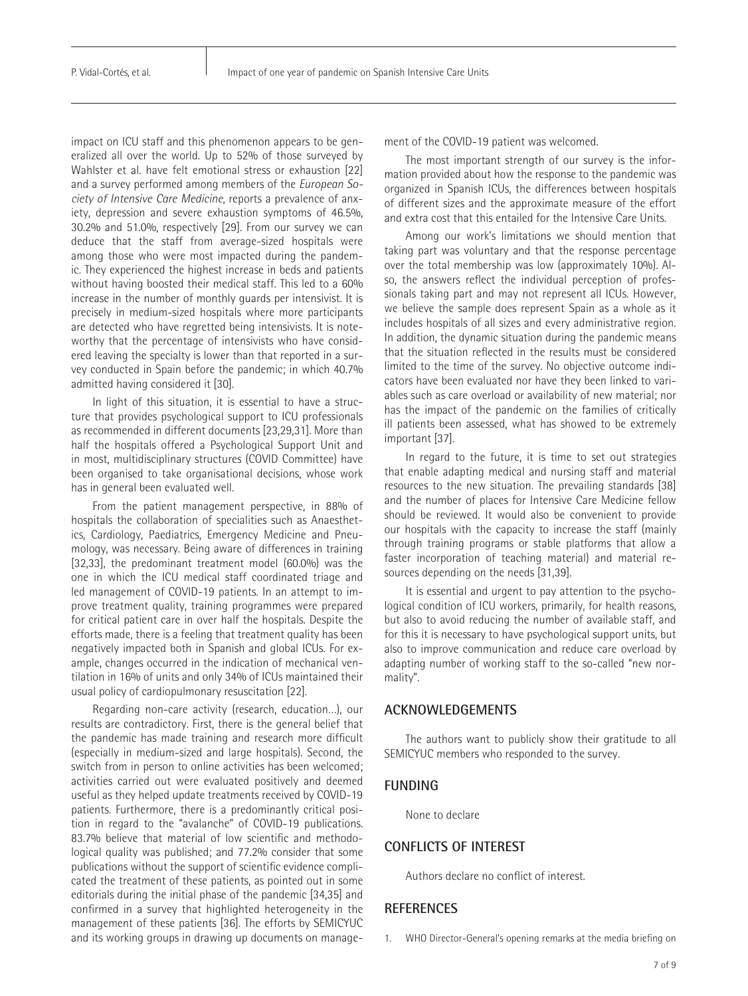impact on ICU staff and this phenomenon appears to be generalized all over the world. Up to 52% of those surveyed by Wahlster et al. have felt emotional stress or exhaustion [22] and a survey performed among members of the *European Society of Intensive Care Medicine*, reports a prevalence of anxiety, depression and severe exhaustion symptoms of 46.5%, 30.2% and 51.0%, respectively [29]. From our survey we can deduce that the staff from average-sized hospitals were among those who were most impacted during the pandemic. They experienced the highest increase in beds and patients without having boosted their medical staff. This led to a 60% increase in the number of monthly guards per intensivist. It is precisely in medium-sized hospitals where more participants are detected who have regretted being intensivists. It is noteworthy that the percentage of intensivists who have considered leaving the specialty is lower than that reported in a survey conducted in Spain before the pandemic; in which 40.7% admitted having considered it [30].

In light of this situation, it is essential to have a structure that provides psychological support to ICU professionals as recommended in different documents [23,29,31]. More than half the hospitals offered a Psychological Support Unit and in most, multidisciplinary structures (COVID Committee) have been organised to take organisational decisions, whose work has in general been evaluated well.

From the patient management perspective, in 88% of hospitals the collaboration of specialities such as Anaesthetics, Cardiology, Paediatrics, Emergency Medicine and Pneumology, was necessary. Being aware of differences in training [32,33], the predominant treatment model (60.0%) was the one in which the ICU medical staff coordinated triage and led management of COVID-19 patients. In an attempt to improve treatment quality, training programmes were prepared for critical patient care in over half the hospitals. Despite the efforts made, there is a feeling that treatment quality has been negatively impacted both in Spanish and global ICUs. For example, changes occurred in the indication of mechanical ventilation in 16% of units and only 34% of ICUs maintained their usual policy of cardiopulmonary resuscitation [22].

Regarding non-care activity (research, education…), our results are contradictory. First, there is the general belief that the pandemic has made training and research more difficult (especially in medium-sized and large hospitals). Second, the switch from in person to online activities has been welcomed; activities carried out were evaluated positively and deemed useful as they helped update treatments received by COVID-19 patients. Furthermore, there is a predominantly critical position in regard to the "avalanche" of COVID-19 publications. 83.7% believe that material of low scientific and methodological quality was published; and 77.2% consider that some publications without the support of scientific evidence complicated the treatment of these patients, as pointed out in some editorials during the initial phase of the pandemic [34,35] and confirmed in a survey that highlighted heterogeneity in the management of these patients [36]. The efforts by SEMICYUC and its working groups in drawing up documents on management of the COVID-19 patient was welcomed.

The most important strength of our survey is the information provided about how the response to the pandemic was organized in Spanish ICUs, the differences between hospitals of different sizes and the approximate measure of the effort and extra cost that this entailed for the Intensive Care Units.

Among our work's limitations we should mention that taking part was voluntary and that the response percentage over the total membership was low (approximately 10%). Also, the answers reflect the individual perception of professionals taking part and may not represent all ICUs. However, we believe the sample does represent Spain as a whole as it includes hospitals of all sizes and every administrative region. In addition, the dynamic situation during the pandemic means that the situation reflected in the results must be considered limited to the time of the survey. No objective outcome indicators have been evaluated nor have they been linked to variables such as care overload or availability of new material; nor has the impact of the pandemic on the families of critically ill patients been assessed, what has showed to be extremely important [37].

In regard to the future, it is time to set out strategies that enable adapting medical and nursing staff and material resources to the new situation. The prevailing standards [38] and the number of places for Intensive Care Medicine fellow should be reviewed. It would also be convenient to provide our hospitals with the capacity to increase the staff (mainly through training programs or stable platforms that allow a faster incorporation of teaching material) and material resources depending on the needs [31,39].

It is essential and urgent to pay attention to the psychological condition of ICU workers, primarily, for health reasons, but also to avoid reducing the number of available staff, and for this it is necessary to have psychological support units, but also to improve communication and reduce care overload by adapting number of working staff to the so-called "new normality".

#### **ACKNOWLEDGEMENTS**

The authors want to publicly show their gratitude to all SEMICYUC members who responded to the survey.

#### **FUNDING**

None to declare

#### **CONFLICTS OF INTEREST**

Authors declare no conflict of interest.

#### **REFERENCES**

1. WHO Director-General's opening remarks at the media briefing on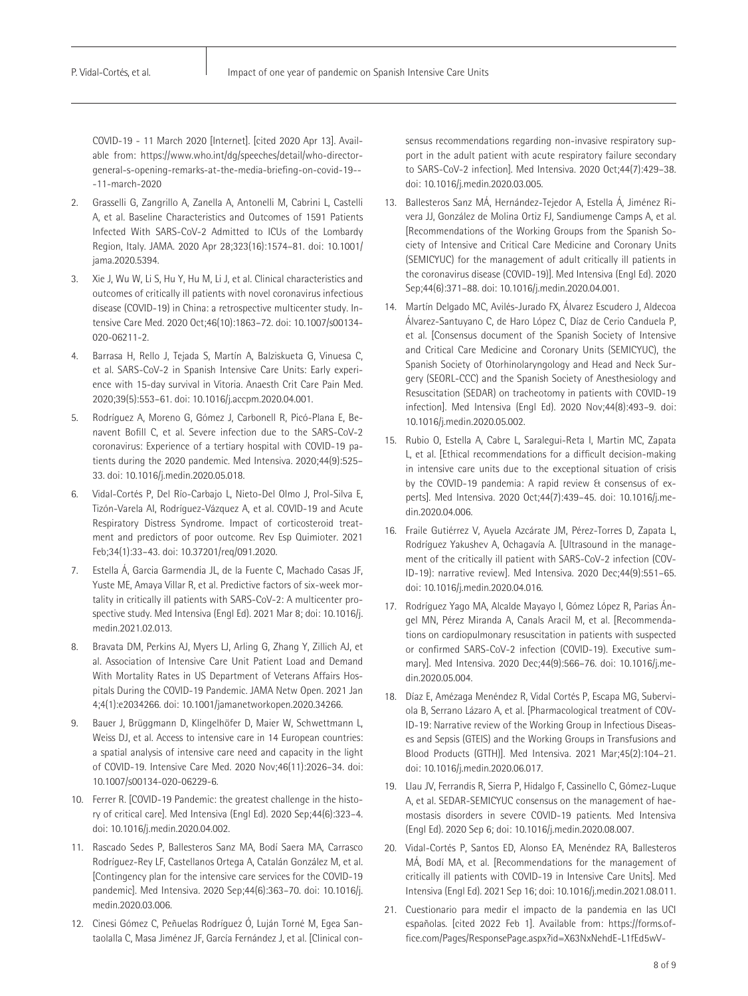COVID-19 - 11 March 2020 [Internet]. [cited 2020 Apr 13]. Available from: https://www.who.int/dg/speeches/detail/who-directorgeneral-s-opening-remarks-at-the-media-briefing-on-covid-19-- -11-march-2020

- 2. Grasselli G, Zangrillo A, Zanella A, Antonelli M, Cabrini L, Castelli A, et al. Baseline Characteristics and Outcomes of 1591 Patients Infected With SARS-CoV-2 Admitted to ICUs of the Lombardy Region, Italy. JAMA. 2020 Apr 28;323(16):1574–81. doi: 10.1001/ jama.2020.5394.
- 3. Xie J, Wu W, Li S, Hu Y, Hu M, Li J, et al. Clinical characteristics and outcomes of critically ill patients with novel coronavirus infectious disease (COVID-19) in China: a retrospective multicenter study. Intensive Care Med. 2020 Oct;46(10):1863–72. doi: 10.1007/s00134- 020-06211-2.
- 4. Barrasa H, Rello J, Tejada S, Martín A, Balziskueta G, Vinuesa C, et al. SARS-CoV-2 in Spanish Intensive Care Units: Early experience with 15-day survival in Vitoria. Anaesth Crit Care Pain Med. 2020;39(5):553–61. doi: 10.1016/j.accpm.2020.04.001.
- 5. Rodríguez A, Moreno G, Gómez J, Carbonell R, Picó-Plana E, Benavent Bofill C, et al. Severe infection due to the SARS-CoV-2 coronavirus: Experience of a tertiary hospital with COVID-19 patients during the 2020 pandemic. Med Intensiva. 2020;44(9):525– 33. doi: 10.1016/j.medin.2020.05.018.
- 6. Vidal-Cortés P, Del Río-Carbajo L, Nieto-Del Olmo J, Prol-Silva E, Tizón-Varela AI, Rodríguez-Vázquez A, et al. COVID-19 and Acute Respiratory Distress Syndrome. Impact of corticosteroid treatment and predictors of poor outcome. Rev Esp Quimioter. 2021 Feb;34(1):33–43. doi: 10.37201/req/091.2020.
- 7. Estella Á, Garcia Garmendia JL, de la Fuente C, Machado Casas JF, Yuste ME, Amaya Villar R, et al. Predictive factors of six-week mortality in critically ill patients with SARS-CoV-2: A multicenter prospective study. Med Intensiva (Engl Ed). 2021 Mar 8; doi: 10.1016/j. medin.2021.02.013.
- 8. Bravata DM, Perkins AJ, Myers LJ, Arling G, Zhang Y, Zillich AJ, et al. Association of Intensive Care Unit Patient Load and Demand With Mortality Rates in US Department of Veterans Affairs Hospitals During the COVID-19 Pandemic. JAMA Netw Open. 2021 Jan 4;4(1):e2034266. doi: 10.1001/jamanetworkopen.2020.34266.
- 9. Bauer J, Brüggmann D, Klingelhöfer D, Maier W, Schwettmann L, Weiss DJ, et al. Access to intensive care in 14 European countries: a spatial analysis of intensive care need and capacity in the light of COVID-19. Intensive Care Med. 2020 Nov;46(11):2026–34. doi: 10.1007/s00134-020-06229-6.
- 10. Ferrer R. [COVID-19 Pandemic: the greatest challenge in the history of critical care]. Med Intensiva (Engl Ed). 2020 Sep;44(6):323–4. doi: 10.1016/j.medin.2020.04.002.
- 11. Rascado Sedes P, Ballesteros Sanz MA, Bodí Saera MA, Carrasco Rodríguez-Rey LF, Castellanos Ortega A, Catalán González M, et al. [Contingency plan for the intensive care services for the COVID-19 pandemic]. Med Intensiva. 2020 Sep;44(6):363–70. doi: 10.1016/j. medin.2020.03.006.
- 12. Cinesi Gómez C, Peñuelas Rodríguez Ó, Luján Torné M, Egea Santaolalla C, Masa Jiménez JF, García Fernández J, et al. [Clinical con-

sensus recommendations regarding non-invasive respiratory support in the adult patient with acute respiratory failure secondary to SARS-CoV-2 infection]. Med Intensiva. 2020 Oct;44(7):429–38. doi: 10.1016/j.medin.2020.03.005.

- 13. Ballesteros Sanz MÁ, Hernández-Tejedor A, Estella Á, Jiménez Rivera JJ, González de Molina Ortiz FJ, Sandiumenge Camps A, et al. [Recommendations of the Working Groups from the Spanish Society of Intensive and Critical Care Medicine and Coronary Units (SEMICYUC) for the management of adult critically ill patients in the coronavirus disease (COVID-19)]. Med Intensiva (Engl Ed). 2020 Sep;44(6):371–88. doi: 10.1016/j.medin.2020.04.001.
- 14. Martín Delgado MC, Avilés-Jurado FX, Álvarez Escudero J, Aldecoa Álvarez-Santuyano C, de Haro López C, Díaz de Cerio Canduela P, et al. [Consensus document of the Spanish Society of Intensive and Critical Care Medicine and Coronary Units (SEMICYUC), the Spanish Society of Otorhinolaryngology and Head and Neck Surgery (SEORL-CCC) and the Spanish Society of Anesthesiology and Resuscitation (SEDAR) on tracheotomy in patients with COVID-19 infection]. Med Intensiva (Engl Ed). 2020 Nov;44(8):493–9. doi: 10.1016/j.medin.2020.05.002.
- 15. Rubio O, Estella A, Cabre L, Saralegui-Reta I, Martin MC, Zapata L, et al. [Ethical recommendations for a difficult decision-making in intensive care units due to the exceptional situation of crisis by the COVID-19 pandemia: A rapid review & consensus of experts]. Med Intensiva. 2020 Oct;44(7):439–45. doi: 10.1016/j.medin.2020.04.006.
- 16. Fraile Gutiérrez V, Ayuela Azcárate JM, Pérez-Torres D, Zapata L, Rodríguez Yakushev A, Ochagavía A. [Ultrasound in the management of the critically ill patient with SARS-CoV-2 infection (COV-ID-19): narrative review]. Med Intensiva. 2020 Dec;44(9):551–65. doi: 10.1016/j.medin.2020.04.016.
- 17. Rodríguez Yago MA, Alcalde Mayayo I, Gómez López R, Parias Ángel MN, Pérez Miranda A, Canals Aracil M, et al. [Recommendations on cardiopulmonary resuscitation in patients with suspected or confirmed SARS-CoV-2 infection (COVID-19). Executive summary]. Med Intensiva. 2020 Dec;44(9):566–76. doi: 10.1016/j.medin.2020.05.004.
- 18. Díaz E, Amézaga Menéndez R, Vidal Cortés P, Escapa MG, Suberviola B, Serrano Lázaro A, et al. [Pharmacological treatment of COV-ID-19: Narrative review of the Working Group in Infectious Diseases and Sepsis (GTEIS) and the Working Groups in Transfusions and Blood Products (GTTH)]. Med Intensiva. 2021 Mar;45(2):104–21. doi: 10.1016/j.medin.2020.06.017.
- 19. Llau JV, Ferrandis R, Sierra P, Hidalgo F, Cassinello C, Gómez-Luque A, et al. SEDAR-SEMICYUC consensus on the management of haemostasis disorders in severe COVID-19 patients. Med Intensiva (Engl Ed). 2020 Sep 6; doi: 10.1016/j.medin.2020.08.007.
- 20. Vidal-Cortés P, Santos ED, Alonso EA, Menéndez RA, Ballesteros MÁ, Bodí MA, et al. [Recommendations for the management of critically ill patients with COVID-19 in Intensive Care Units]. Med Intensiva (Engl Ed). 2021 Sep 16; doi: 10.1016/j.medin.2021.08.011.
- 21. Cuestionario para medir el impacto de la pandemia en las UCI españolas. [cited 2022 Feb 1]. Available from: https://forms.office.com/Pages/ResponsePage.aspx?id=X63NxNehdE-L1fEd5wV-